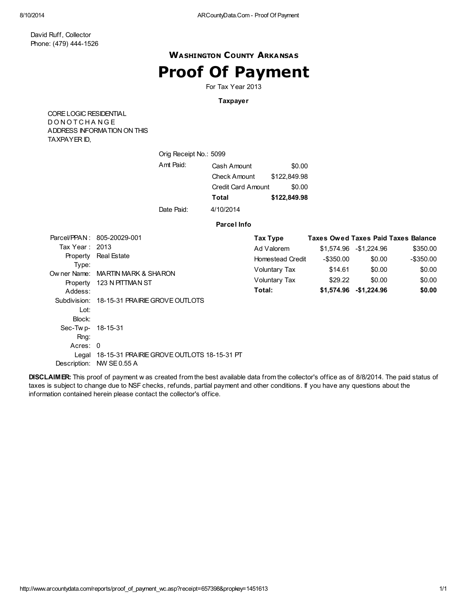### WASHINGTON COUNTY ARKANSAS

## Proof Of Payment

For Tax Year 2013

#### Taxpayer

CORELOGIC RESIDENTIAL D O N O T C H A N G E ADDRESS INFORMATION ON THIS TAXPAYER ID,

| Orig Receipt No.: 5099 |                     |              |
|------------------------|---------------------|--------------|
| Amt Paid:              | Cash Amount         | \$0.00       |
|                        | <b>Check Amount</b> | \$122,849.98 |
|                        | Credit Card Amount  | \$0.00       |
|                        | Total               | \$122,849,98 |
| Date Paid:             | 4/10/2014           |              |

#### Parcel Info

|                   | Parcel/PPAN: 805-20029-001                       | Tax Type                |           |                         | <b>Taxes Owed Taxes Paid Taxes Balance</b> |
|-------------------|--------------------------------------------------|-------------------------|-----------|-------------------------|--------------------------------------------|
| Tax Year: 2013    |                                                  | Ad Valorem              |           | \$1,574.96 - \$1,224.96 | \$350.00                                   |
| Type:             | Property Real Estate                             | <b>Homestead Credit</b> | -\$350.00 | \$0.00                  | $-$ \$350.00                               |
|                   | Owner Name: MARTIN MARK & SHARON                 | Voluntary Tax           | \$14.61   | \$0.00                  | \$0.00                                     |
|                   | Property 123 N PITTMAN ST                        | Voluntary Tax           | \$29.22   | \$0.00                  | \$0.00                                     |
| Addess:           |                                                  | Total:                  |           | \$1,574.96 - \$1,224.96 | \$0.00                                     |
|                   | Subdivision: 18-15-31 PRAIRIE GROVE OUTLOTS      |                         |           |                         |                                            |
| Lot:              |                                                  |                         |           |                         |                                            |
| Block:            |                                                  |                         |           |                         |                                            |
| Sec-Twp- 18-15-31 |                                                  |                         |           |                         |                                            |
| Rng:              |                                                  |                         |           |                         |                                            |
| Acres: 0          |                                                  |                         |           |                         |                                            |
|                   | Legal 18-15-31 PRAIRIE GROVE OUTLOTS 18-15-31 PT |                         |           |                         |                                            |
| Description:      | NW SE 0.55 A                                     |                         |           |                         |                                            |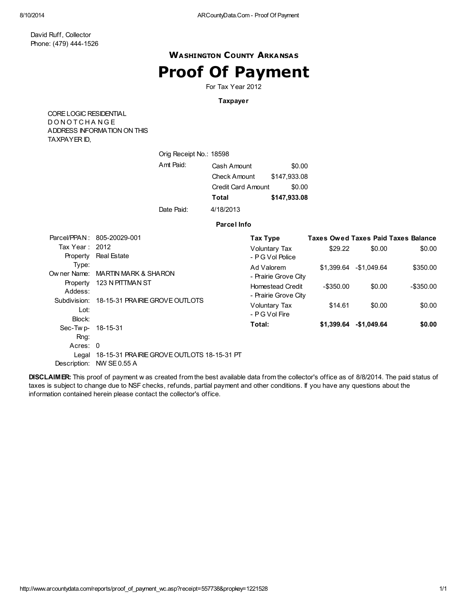### WASHINGTON COUNTY ARKANSAS

# Proof Of Payment

For Tax Year 2012

#### Taxpayer

CORELOGIC RESIDENTIAL D O N O T C H A N G E ADDRESS INFORMATION ON THIS TAXPAYER ID,

| Orig Receipt No.: 18598 |                     |              |
|-------------------------|---------------------|--------------|
| Amt Paid:               | Cash Amount         | \$0.00       |
|                         | <b>Check Amount</b> | \$147,933.08 |
|                         | Credit Card Amount  | \$0.00       |
|                         | Total               | \$147,933.08 |
| Date Paid:              | 4/18/2013           |              |

#### Parcel Info

|                   | Parcel/PPAN: 805-20029-001                       | Tax Type                |            |                         | <b>Taxes Owed Taxes Paid Taxes Balance</b> |
|-------------------|--------------------------------------------------|-------------------------|------------|-------------------------|--------------------------------------------|
| Tax Year: $2012$  |                                                  | Voluntary Tax           | \$29.22    | \$0.00                  | \$0.00                                     |
|                   | Property Real Estate                             | - PG Vol Police         |            |                         |                                            |
| Type:             |                                                  | Ad Valorem              |            | \$1.399.64 - \$1.049.64 | \$350.00                                   |
| Ow ner Name:      | MARTIN MARK & SHARON                             | - Prairie Grove City    |            |                         |                                            |
| Property          | 123 N PITTMAN ST                                 | <b>Homestead Credit</b> | -\$350.00  | \$0.00                  | -\$350.00                                  |
| Addess:           |                                                  | - Prairie Grove City    |            |                         |                                            |
|                   | Subdivision: 18-15-31 PRAIRIE GROVE OUTLOTS      | Voluntary Tax           | \$14.61    | \$0.00                  | \$0.00                                     |
| Lot:              |                                                  | - PG Vol Fire           |            |                         |                                            |
| Block:            |                                                  | Total:                  | \$1,399.64 | -\$1,049.64             | \$0.00                                     |
| Sec-Twp- 18-15-31 |                                                  |                         |            |                         |                                            |
| Rng:              |                                                  |                         |            |                         |                                            |
| Acres: 0          |                                                  |                         |            |                         |                                            |
|                   | Legal 18-15-31 PRAIRIE GROVE OUTLOTS 18-15-31 PT |                         |            |                         |                                            |
| Description:      | <b>NW SE0.55 A</b>                               |                         |            |                         |                                            |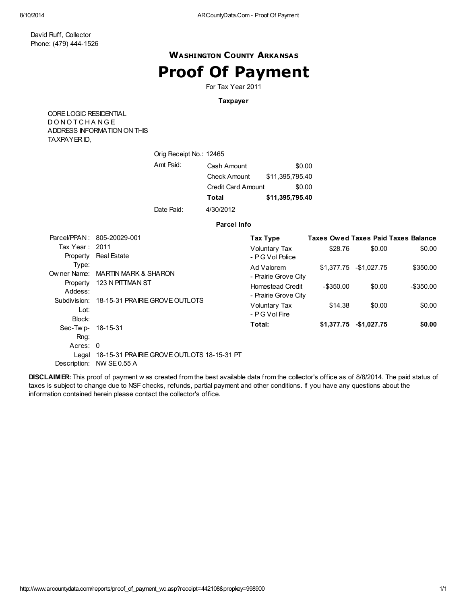### WASHINGTON COUNTY ARKANSAS

## Proof Of Payment

For Tax Year 2011

#### Taxpayer

CORELOGIC RESIDENTIAL D O N O T C H A N G E ADDRESS INFORMATION ON THIS TAXPAYER ID,

| Orig Receipt No.: 12465 |                           |                 |
|-------------------------|---------------------------|-----------------|
| Amt Paid:               | Cash Amount               | \$0.00          |
|                         | <b>Check Amount</b>       | \$11,395,795.40 |
|                         | <b>Credit Card Amount</b> | \$0.00          |
|                         | Total                     | \$11,395,795.40 |
| Date Paid:              | 4/30/2012                 |                 |

#### Parcel Info

|                   | Parcel/PPAN: 805-20029-001                       | Tax Type                |            |                         | <b>Taxes Owed Taxes Paid Taxes Balance</b> |
|-------------------|--------------------------------------------------|-------------------------|------------|-------------------------|--------------------------------------------|
| Tax Year: 2011    |                                                  | Voluntary Tax           | \$28.76    | \$0.00                  | \$0.00                                     |
| Property          | <b>Real Estate</b>                               | - PG Vol Police         |            |                         |                                            |
| Type:             |                                                  | Ad Valorem              |            | \$1.377.75 - \$1.027.75 | \$350.00                                   |
| Ow ner Name:      | <b>MARTIN MARK &amp; SHARON</b>                  | - Prairie Grove City    |            |                         |                                            |
| Property          | 123 N PITTMAN ST                                 | <b>Homestead Credit</b> | -\$350.00  | \$0.00                  | -\$350.00                                  |
| Addess:           |                                                  | - Prairie Grove City    |            |                         |                                            |
|                   | Subdivision: 18-15-31 PRAIRIE GROVE OUTLOTS      | <b>Voluntary Tax</b>    | \$14.38    | \$0.00                  | \$0.00                                     |
| Lot:              |                                                  | - PG Vol Fire           |            |                         |                                            |
| Block:            |                                                  |                         |            |                         |                                            |
| Sec-Twp- 18-15-31 |                                                  | Total:                  | \$1.377.75 | $-$1,027.75$            | \$0.00                                     |
| Rng:              |                                                  |                         |            |                         |                                            |
| Acres: 0          |                                                  |                         |            |                         |                                            |
|                   | Legal 18-15-31 PRAIRIE GROVE OUTLOTS 18-15-31 PT |                         |            |                         |                                            |
| Description:      | <b>NW SE0.55 A</b>                               |                         |            |                         |                                            |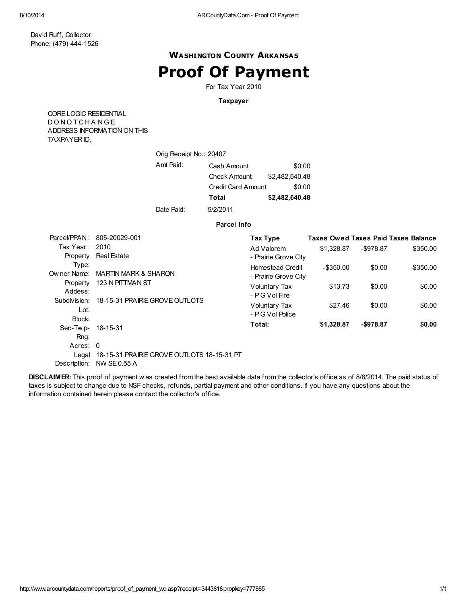### WASHINGTON COUNTY ARKANSAS

## Proof Of Payment

For Tax Year 2010

#### Taxpayer

CORELOGIC RESIDENTIAL D O N O T C H A N G E ADDRESS INFORMATION ON THIS TAXPAYER ID,

| Orig Receipt No.: 20407 |                     |                |
|-------------------------|---------------------|----------------|
| Amt Paid:               | Cash Amount         | \$0.00         |
|                         | <b>Check Amount</b> | \$2,482,640.48 |
|                         | Credit Card Amount  | \$0.00         |
|                         | Total               | \$2,482,640.48 |
| Date Paid:              | 5/2/2011            |                |

#### Parcel Info

|                   | Parcel/PPAN: 805-20029-001                       | Tax Type                |            |              | <b>Taxes Owed Taxes Paid Taxes Balance</b> |
|-------------------|--------------------------------------------------|-------------------------|------------|--------------|--------------------------------------------|
| Tax Year: 2010    |                                                  | Ad Valorem              | \$1.328.87 | $-$ \$978.87 | \$350.00                                   |
| Property          | Real Estate                                      | - Prairie Grove City    |            |              |                                            |
| Type:             |                                                  | <b>Homestead Credit</b> | -\$350.00  | \$0.00       | -\$350.00                                  |
| Ow ner Name:      | MARTIN MARK & SHARON                             | - Prairie Grove City    |            |              |                                            |
| Property          | 123 N PITTMAN ST                                 | Voluntary Tax           | \$13.73    | \$0.00       | \$0.00                                     |
| Addess:           |                                                  | - PG Vol Fire           |            |              |                                            |
|                   | Subdivision: 18-15-31 PRAIRIE GROVE OUTLOTS      | <b>Voluntary Tax</b>    | \$27.46    | \$0.00       | \$0.00                                     |
| Lot:              |                                                  | - PG Vol Police         |            |              |                                            |
| Block:            |                                                  |                         |            |              |                                            |
| Sec-Twp- 18-15-31 |                                                  | Total:                  | \$1,328.87 | $-$978.87$   | \$0.00                                     |
| Rng:              |                                                  |                         |            |              |                                            |
| Acres: 0          |                                                  |                         |            |              |                                            |
|                   | Legal 18-15-31 PRAIRIE GROVE OUTLOTS 18-15-31 PT |                         |            |              |                                            |
| Description:      | NW SE0.55 A                                      |                         |            |              |                                            |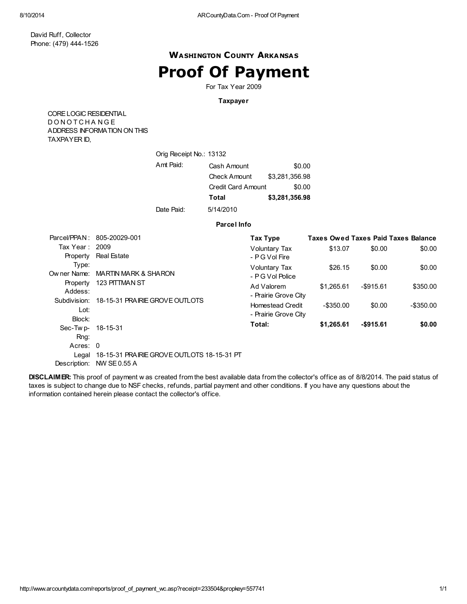### WASHINGTON COUNTY ARKANSAS

## Proof Of Payment

For Tax Year 2009

#### Taxpayer

CORELOGIC RESIDENTIAL D O N O T C H A N G E ADDRESS INFORMATION ON THIS TAXPAYER ID,

| Orig Receipt No.: 13132 |                     |                |
|-------------------------|---------------------|----------------|
| Amt Paid:               | Cash Amount         | \$0.00         |
|                         | <b>Check Amount</b> | \$3,281,356.98 |
|                         | Credit Card Amount  | \$0.00         |
|                         | Total               | \$3,281,356.98 |
| Date Paid:              | 5/14/2010           |                |

#### Parcel Info

|                   | Parcel/PPAN: 805-20029-001                       | Tax Type                |            |              | <b>Taxes Owed Taxes Paid Taxes Balance</b> |
|-------------------|--------------------------------------------------|-------------------------|------------|--------------|--------------------------------------------|
| Tax Year: 2009    |                                                  | <b>Voluntary Tax</b>    | \$13.07    | \$0.00       | \$0.00                                     |
| Property          | <b>Real Estate</b>                               | - PG Vol Fire           |            |              |                                            |
| Type:             |                                                  | Voluntary Tax           | \$26.15    | \$0.00       | \$0.00                                     |
| Ow ner Name:      | MARTIN MARK & SHARON                             | - PG Vol Police         |            |              |                                            |
| Property          | 123 PITTMAN ST                                   | Ad Valorem              | \$1.265.61 | $-$ \$915.61 | \$350.00                                   |
| Addess:           |                                                  | - Prairie Grove City    |            |              |                                            |
| Subdivision:      | 18-15-31 PRAIRIE GROVE OUTLOTS                   | <b>Homestead Credit</b> | -\$350.00  | \$0.00       | -\$350.00                                  |
| Lot:              |                                                  | - Prairie Grove City    |            |              |                                            |
| Block:            |                                                  | Total:                  | \$1,265.61 | $-$915.61$   | \$0.00                                     |
| Sec-Twp- 18-15-31 |                                                  |                         |            |              |                                            |
| Rng:              |                                                  |                         |            |              |                                            |
| Acres: 0          |                                                  |                         |            |              |                                            |
|                   | Legal 18-15-31 PRAIRIE GROVE OUTLOTS 18-15-31 PT |                         |            |              |                                            |
| Description:      | NW SE0.55 A                                      |                         |            |              |                                            |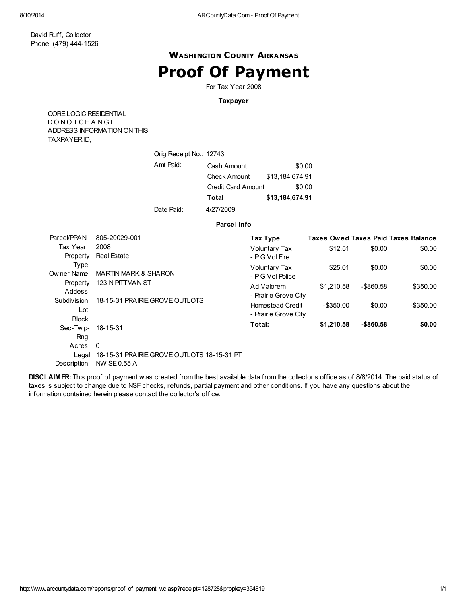### WASHINGTON COUNTY ARKANSAS

## Proof Of Payment

For Tax Year 2008

#### Taxpayer

CORELOGIC RESIDENTIAL D O N O T C H A N G E ADDRESS INFORMATION ON THIS TAXPAYER ID,

| Orig Receipt No.: 12743 |                     |                 |
|-------------------------|---------------------|-----------------|
| Amt Paid:               | Cash Amount         | \$0.00          |
|                         | <b>Check Amount</b> | \$13,184,674.91 |
|                         | Credit Card Amount  | \$0.00          |
|                         | Total               | \$13,184,674.91 |
| Date Paid:              | 4/27/2009           |                 |

#### Parcel Info

|                   | Parcel/PPAN: 805-20029-001                       | Tax Type                |              |            | <b>Taxes Owed Taxes Paid Taxes Balance</b> |
|-------------------|--------------------------------------------------|-------------------------|--------------|------------|--------------------------------------------|
| Tax Year: 2008    |                                                  | <b>Voluntary Tax</b>    | \$12.51      | \$0.00     | \$0.00                                     |
| Property          | <b>Real Estate</b>                               | - PG Vol Fire           |              |            |                                            |
| Type:             |                                                  | Voluntary Tax           | \$25.01      | \$0.00     | \$0.00                                     |
|                   | Owner Name: MARTIN MARK & SHARON                 | - PG Vol Police         |              |            |                                            |
| Property          | 123 N PITTMAN ST                                 | Ad Valorem              | \$1.210.58   | -\$860.58  | \$350.00                                   |
| Addess:           |                                                  | - Prairie Grove City    |              |            |                                            |
| Subdivision:      | 18-15-31 PRAIRIE GROVE OUTLOTS                   | <b>Homestead Credit</b> | $-$ \$350.00 | \$0.00     | -\$350.00                                  |
| Lot:              |                                                  | - Prairie Grove City    |              |            |                                            |
| Block:            |                                                  |                         |              |            |                                            |
| Sec-Twp- 18-15-31 |                                                  | Total:                  | \$1,210.58   | $-$860.58$ | \$0.00                                     |
| Rng:              |                                                  |                         |              |            |                                            |
| Acres: 0          |                                                  |                         |              |            |                                            |
|                   | Legal 18-15-31 PRAIRIE GROVE OUTLOTS 18-15-31 PT |                         |              |            |                                            |
| Description:      | <b>NW SE0.55 A</b>                               |                         |              |            |                                            |